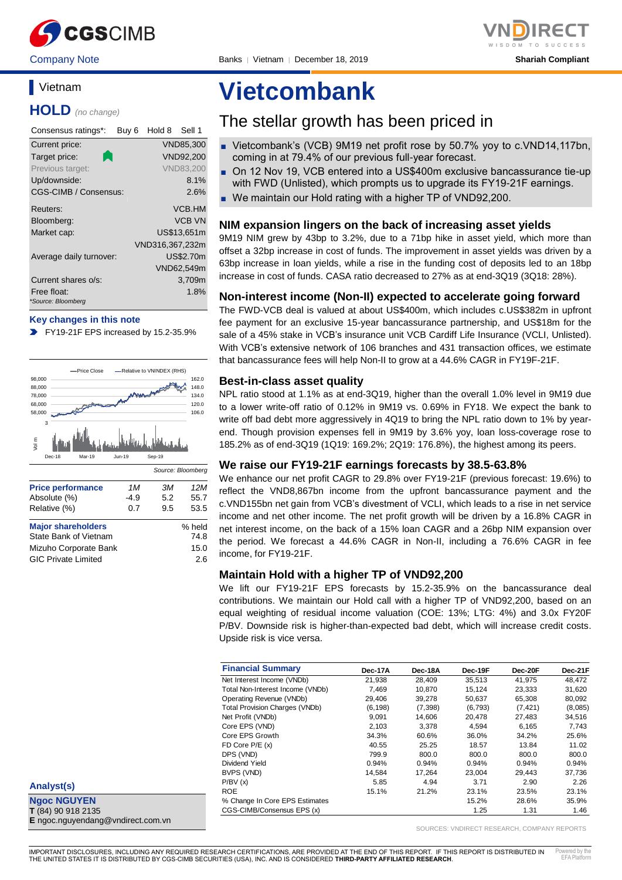

Company Note Banks │ Vietnam │ December 18, 2019 **Shariah Compliant**

## **Vietnam**

**HOLD** *(no change)*

| Consensus ratings*:          | Buy 6 | Hold 8          | Sell 1           |
|------------------------------|-------|-----------------|------------------|
| Current price:               |       |                 | VND85,300        |
| Target price:                |       |                 | VND92,200        |
| Previous target:             |       |                 | <b>VND83,200</b> |
| Up/downside:                 |       |                 | 8.1%             |
| <b>CGS-CIMB / Consensus:</b> |       |                 | 2.6%             |
| Reuters:                     |       |                 | VCB.HM           |
| Bloomberg:                   |       |                 | <b>VCB VN</b>    |
| Market cap:                  |       |                 | US\$13.651m      |
|                              |       | VND316,367,232m |                  |
| Average daily turnover:      |       |                 | <b>US\$2.70m</b> |
|                              |       |                 | VND62,549m       |
| Current shares o/s:          |       |                 | 3,709m           |
| Free float:                  |       |                 | 1.8%             |
| *Source: Bloomberg           |       |                 |                  |

#### **Key changes in this note**

FY19-21F EPS increased by 15.2-35.9%



| <b>Price performance</b>   | 1M     | ЗM  | 12M    |
|----------------------------|--------|-----|--------|
| Absolute (%)               | $-4.9$ | 5.2 | 55.7   |
| Relative (%)               | 0.7    | 9.5 | 53.5   |
| <b>Major shareholders</b>  |        |     | % held |
| State Bank of Vietnam      |        |     | 74.8   |
| Mizuho Corporate Bank      |        |     | 15.0   |
| <b>GIC Private Limited</b> |        |     | 2.6    |
|                            |        |     |        |

**Analyst(s)**

**Ngoc NGUYEN T** (84) 90 918 2135 **E** ngoc.nguyendang@vndirect.com.vn

# **Vietcombank**

## The stellar growth has been priced in

- Vietcombank's (VCB) 9M19 net profit rose by 50.7% yoy to c.VND14,117bn, coming in at 79.4% of our previous full-year forecast.
- On 12 Nov 19, VCB entered into a US\$400m exclusive bancassurance tie-up with FWD (Unlisted), which prompts us to upgrade its FY19-21F earnings.
- We maintain our Hold rating with a higher TP of VND92,200.

#### **NIM expansion lingers on the back of increasing asset yields**

9M19 NIM grew by 43bp to 3.2%, due to a 71bp hike in asset yield, which more than offset a 32bp increase in cost of funds. The improvement in asset yields was driven by a 63bp increase in loan yields, while a rise in the funding cost of deposits led to an 18bp increase in cost of funds. CASA ratio decreased to 27% as at end-3Q19 (3Q18: 28%).

#### **Non-interest income (Non-II) expected to accelerate going forward**

The FWD-VCB deal is valued at about US\$400m, which includes c.US\$382m in upfront fee payment for an exclusive 15-year bancassurance partnership, and US\$18m for the sale of a 45% stake in VCB's insurance unit VCB Cardiff Life Insurance (VCLI, Unlisted). With VCB's extensive network of 106 branches and 431 transaction offices, we estimate that bancassurance fees will help Non-II to grow at a 44.6% CAGR in FY19F-21F.

#### **Best-in-class asset quality**

NPL ratio stood at 1.1% as at end-3Q19, higher than the overall 1.0% level in 9M19 due to a lower write-off ratio of 0.12% in 9M19 vs. 0.69% in FY18. We expect the bank to write off bad debt more aggressively in 4Q19 to bring the NPL ratio down to 1% by yearend. Though provision expenses fell in 9M19 by 3.6% yoy, loan loss-coverage rose to 185.2% as of end-3Q19 (1Q19: 169.2%; 2Q19: 176.8%), the highest among its peers.

#### **We raise our FY19-21F earnings forecasts by 38.5-63.8%**

We enhance our net profit CAGR to 29.8% over FY19-21F (previous forecast: 19.6%) to reflect the VND8,867bn income from the upfront bancassurance payment and the c.VND155bn net gain from VCB's divestment of VCLI, which leads to a rise in net service income and net other income. The net profit growth will be driven by a 16.8% CAGR in net interest income, on the back of a 15% loan CAGR and a 26bp NIM expansion over the period. We forecast a 44.6% CAGR in Non-II, including a 76.6% CAGR in fee income, for FY19-21F.

#### **Maintain Hold with a higher TP of VND92,200**

We lift our FY19-21F EPS forecasts by 15.2-35.9% on the bancassurance deal contributions. We maintain our Hold call with a higher TP of VND92,200, based on an equal weighting of residual income valuation (COE: 13%; LTG: 4%) and 3.0x FY20F P/BV. Downside risk is higher-than-expected bad debt, which will increase credit costs. Upside risk is vice versa.

| <b>Financial Summary</b>              | Dec-17A  | Dec-18A | Dec-19F  | Dec-20F  | Dec-21F |
|---------------------------------------|----------|---------|----------|----------|---------|
| Net Interest Income (VNDb)            | 21.938   | 28.409  | 35,513   | 41.975   | 48,472  |
| Total Non-Interest Income (VNDb)      | 7.469    | 10.870  | 15.124   | 23.333   | 31,620  |
| Operating Revenue (VNDb)              | 29.406   | 39.278  | 50,637   | 65,308   | 80,092  |
| <b>Total Provision Charges (VNDb)</b> | (6, 198) | (7,398) | (6, 793) | (7, 421) | (8,085) |
| Net Profit (VNDb)                     | 9,091    | 14.606  | 20.478   | 27,483   | 34,516  |
| Core EPS (VND)                        | 2,103    | 3,378   | 4,594    | 6,165    | 7,743   |
| Core EPS Growth                       | 34.3%    | 60.6%   | 36.0%    | 34.2%    | 25.6%   |
| FD Core P/E (x)                       | 40.55    | 25.25   | 18.57    | 13.84    | 11.02   |
| DPS (VND)                             | 799.9    | 800.0   | 800.0    | 800.0    | 800.0   |
| Dividend Yield                        | 0.94%    | 0.94%   | 0.94%    | 0.94%    | 0.94%   |
| BVPS (VND)                            | 14.584   | 17.264  | 23.004   | 29.443   | 37.736  |
| P/BV(x)                               | 5.85     | 4.94    | 3.71     | 2.90     | 2.26    |
| <b>ROE</b>                            | 15.1%    | 21.2%   | 23.1%    | 23.5%    | 23.1%   |
| % Change In Core EPS Estimates        |          |         | 15.2%    | 28.6%    | 35.9%   |
| CGS-CIMB/Consensus EPS (x)            |          |         | 1.25     | 1.31     | 1.46    |

SOURCES: VNDIRECT RESEARCH, COMPANY REPORTS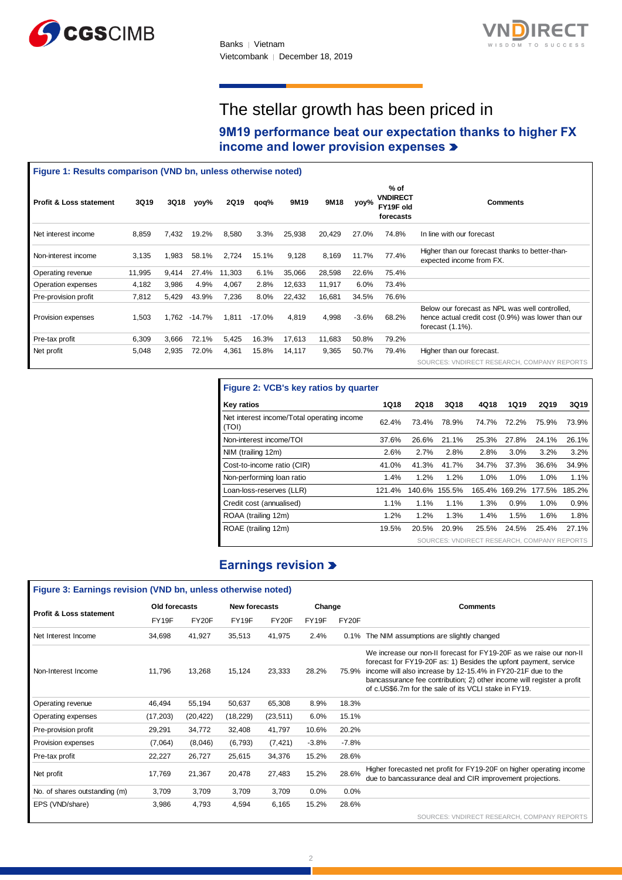



# The stellar growth has been priced in

**9M19 performance beat our expectation thanks to higher FX income and lower provision expenses** 

| Figure 1: Results comparison (VND bn, unless otherwise noted) |        |       |        |        |          |        |        |         |                                                   |                                                                                                                              |
|---------------------------------------------------------------|--------|-------|--------|--------|----------|--------|--------|---------|---------------------------------------------------|------------------------------------------------------------------------------------------------------------------------------|
| <b>Profit &amp; Loss statement</b>                            | 3Q19   | 3Q18  | yoy%   | 2Q19   | qoq%     | 9M19   | 9M18   | yoy%    | % of<br><b>VNDIRECT</b><br>FY19F old<br>forecasts | <b>Comments</b>                                                                                                              |
| Net interest income                                           | 8,859  | 7,432 | 19.2%  | 8,580  | 3.3%     | 25,938 | 20,429 | 27.0%   | 74.8%                                             | In line with our forecast                                                                                                    |
| Non-interest income                                           | 3,135  | 1,983 | 58.1%  | 2,724  | 15.1%    | 9,128  | 8,169  | 11.7%   | 77.4%                                             | Higher than our forecast thanks to better-than-<br>expected income from FX.                                                  |
| Operating revenue                                             | 11,995 | 9,414 | 27.4%  | 11,303 | 6.1%     | 35,066 | 28,598 | 22.6%   | 75.4%                                             |                                                                                                                              |
| Operation expenses                                            | 4,182  | 3,986 | 4.9%   | 4,067  | 2.8%     | 12,633 | 11,917 | 6.0%    | 73.4%                                             |                                                                                                                              |
| Pre-provision profit                                          | 7,812  | 5,429 | 43.9%  | 7,236  | 8.0%     | 22,432 | 16,681 | 34.5%   | 76.6%                                             |                                                                                                                              |
| Provision expenses                                            | 1,503  | 1,762 | -14.7% | 1,811  | $-17.0%$ | 4,819  | 4,998  | $-3.6%$ | 68.2%                                             | Below our forecast as NPL was well controlled,<br>hence actual credit cost (0.9%) was lower than our<br>forecast $(1.1\%)$ . |
| Pre-tax profit                                                | 6,309  | 3,666 | 72.1%  | 5,425  | 16.3%    | 17,613 | 11,683 | 50.8%   | 79.2%                                             |                                                                                                                              |
| Net profit                                                    | 5,048  | 2,935 | 72.0%  | 4,361  | 15.8%    | 14,117 | 9,365  | 50.7%   | 79.4%                                             | Higher than our forecast.<br>SOURCES: VNDIRECT RESEARCH, COMPANY REPORTS                                                     |

| Figure 2: VCB's key ratios by quarter               |             |             |        |                                             |             |        |        |  |  |  |
|-----------------------------------------------------|-------------|-------------|--------|---------------------------------------------|-------------|--------|--------|--|--|--|
| <b>Key ratios</b>                                   | <b>1Q18</b> | <b>2Q18</b> | 3Q18   | 4Q18                                        | <b>1Q19</b> | 2Q19   | 3Q19   |  |  |  |
| Net interest income/Total operating income<br>(TOI) | 62.4%       | 73.4%       | 78.9%  | 74.7%                                       | 72.2%       | 75.9%  | 73.9%  |  |  |  |
| Non-interest income/TOI                             | 37.6%       | 26.6%       | 21.1%  | 25.3%                                       | 27.8%       | 24.1%  | 26.1%  |  |  |  |
| NIM (trailing 12m)                                  | 2.6%        | 2.7%        | 2.8%   | 2.8%                                        | 3.0%        | 3.2%   | 3.2%   |  |  |  |
| Cost-to-income ratio (CIR)                          | 41.0%       | 41.3%       | 41.7%  | 34.7%                                       | 37.3%       | 36.6%  | 34.9%  |  |  |  |
| Non-performing loan ratio                           | 1.4%        | 1.2%        | 1.2%   | 1.0%                                        | 1.0%        | 1.0%   | 1.1%   |  |  |  |
| Loan-loss-reserves (LLR)                            | 121.4%      | 140.6%      | 155.5% | 165.4%                                      | 169.2%      | 177.5% | 185.2% |  |  |  |
| Credit cost (annualised)                            | 1.1%        | 1.1%        | 1.1%   | 1.3%                                        | 0.9%        | 1.0%   | 0.9%   |  |  |  |
| ROAA (trailing 12m)                                 | 1.2%        | 1.2%        | 1.3%   | 1.4%                                        | 1.5%        | 1.6%   | 1.8%   |  |  |  |
| ROAE (trailing 12m)                                 | 19.5%       | 20.5%       | 20.9%  | 25.5%                                       | 24.5%       | 25.4%  | 27.1%  |  |  |  |
|                                                     |             |             |        | SOURCES: VNDIRECT RESEARCH, COMPANY REPORTS |             |        |        |  |  |  |

### **Earnings revision**

| Profit & Loss statement                                      | 3Q19   |               | 3Q18 yoy%     | 2Q19              | qoq%                     | 9M19                       | 9M18                                       | yoy%    | FY19F old<br>forecasts                                                                                                                                                                                                                                                                  |             |                           |                                                                                                      | <b>Comments</b>      |             |             |
|--------------------------------------------------------------|--------|---------------|---------------|-------------------|--------------------------|----------------------------|--------------------------------------------|---------|-----------------------------------------------------------------------------------------------------------------------------------------------------------------------------------------------------------------------------------------------------------------------------------------|-------------|---------------------------|------------------------------------------------------------------------------------------------------|----------------------|-------------|-------------|
| Net interest income                                          | 8,859  | 7,432         | 19.2%         | 8,580             | 3.3%                     | 25,938                     | 20,429                                     | 27.0%   | 74.8%                                                                                                                                                                                                                                                                                   |             | In line with our forecast |                                                                                                      |                      |             |             |
| Non-interest income                                          | 3,135  | 1,983         | 58.1%         | 2,724             | 15.1%                    | 9,128                      | 8,169                                      | 11.7%   | 77.4%                                                                                                                                                                                                                                                                                   |             |                           | Higher than our forecast thanks to better-than-<br>expected income from FX.                          |                      |             |             |
| Operating revenue                                            | 11,995 | 9,414         | 27.4%         | 11,303            | 6.1%                     | 35,066                     | 28,598                                     | 22.6%   | 75.4%                                                                                                                                                                                                                                                                                   |             |                           |                                                                                                      |                      |             |             |
| Operation expenses                                           | 4,182  | 3,986         | 4.9%          | 4,067             | 2.8%                     | 12,633                     | 11,917                                     | 6.0%    | 73.4%                                                                                                                                                                                                                                                                                   |             |                           |                                                                                                      |                      |             |             |
| Pre-provision profit                                         | 7,812  | 5,429         | 43.9%         | 7,236             | 8.0%                     | 22,432                     | 16,681                                     | 34.5%   | 76.6%                                                                                                                                                                                                                                                                                   |             |                           |                                                                                                      |                      |             |             |
| Provision expenses                                           | 1,503  |               | 1,762 - 14.7% | 1,811             | $-17.0%$                 | 4,819                      | 4,998                                      | $-3.6%$ | 68.2%                                                                                                                                                                                                                                                                                   |             | forecast $(1.1\%)$ .      | Below our forecast as NPL was well controlled.<br>hence actual credit cost (0.9%) was lower than our |                      |             |             |
| Pre-tax profit                                               | 6,309  | 3,666         | 72.1%         | 5,425             | 16.3%                    | 17,613                     | 11,683                                     | 50.8%   | 79.2%                                                                                                                                                                                                                                                                                   |             |                           |                                                                                                      |                      |             |             |
| Net profit                                                   | 5,048  | 2,935         | 72.0%         | 4,361             | 15.8%                    | 14,117                     | 9,365                                      | 50.7%   | 79.4%                                                                                                                                                                                                                                                                                   |             |                           | Higher than our forecast.<br>SOURCES: VNDIRECT RESEARCH, COMPANY REPORTS                             |                      |             |             |
|                                                              |        |               |               |                   |                          |                            | Figure 2: VCB's key ratios by quarter      |         |                                                                                                                                                                                                                                                                                         |             |                           |                                                                                                      |                      |             |             |
|                                                              |        |               |               | <b>Key ratios</b> |                          |                            |                                            |         | <b>1Q18</b>                                                                                                                                                                                                                                                                             | <b>2Q18</b> | 3Q18                      | 4Q18                                                                                                 | <b>1Q19</b>          | <b>2Q19</b> | <b>3Q19</b> |
|                                                              |        |               |               | (TOI)             |                          |                            | Net interest income/Total operating income |         | 62.4%                                                                                                                                                                                                                                                                                   | 73.4%       | 78.9%                     | 74.7%                                                                                                | 72.2%                | 75.9%       | 73.9%       |
|                                                              |        |               |               |                   | Non-interest income/TOI  |                            |                                            |         | 37.6%                                                                                                                                                                                                                                                                                   | 26.6%       | 21.1%                     | 25.3%                                                                                                | 27.8%                | 24.1%       | 26.1%       |
|                                                              |        |               |               |                   | NIM (trailing 12m)       |                            |                                            |         | 2.6%                                                                                                                                                                                                                                                                                    | 2.7%        | 2.8%                      | 2.8%                                                                                                 | 3.0%                 | 3.2%        | 3.2%        |
|                                                              |        |               |               |                   |                          | Cost-to-income ratio (CIR) |                                            |         | 41.0%                                                                                                                                                                                                                                                                                   | 41.3%       | 41.7%                     | 34.7%                                                                                                | 37.3%                | 36.6%       | 34.9%       |
|                                                              |        |               |               |                   |                          | Non-performing loan ratio  |                                            |         | 1.4%                                                                                                                                                                                                                                                                                    | 1.2%        | 1.2%                      | 1.0%                                                                                                 | 1.0%                 | 1.0%        | 1.1%        |
|                                                              |        |               |               |                   |                          | Loan-loss-reserves (LLR)   |                                            |         | 121.4%                                                                                                                                                                                                                                                                                  |             | 140.6% 155.5%             |                                                                                                      | 165.4% 169.2% 177.5% |             | 185.2%      |
|                                                              |        |               |               |                   | Credit cost (annualised) |                            |                                            |         | 1.1%                                                                                                                                                                                                                                                                                    | 1.1%        | 1.1%                      | 1.3%                                                                                                 | 0.9%                 | 1.0%        | 0.9%        |
|                                                              |        |               |               |                   | ROAA (trailing 12m)      |                            |                                            |         | 1.2%                                                                                                                                                                                                                                                                                    | 1.2%        | 1.3%                      | 1.4%                                                                                                 | 1.5%                 | 1.6%        | 1.8%        |
|                                                              |        |               |               |                   | ROAE (trailing 12m)      |                            |                                            |         | 19.5%                                                                                                                                                                                                                                                                                   | 20.5%       | 20.9%                     | 25.5%                                                                                                | 24.5%                | 25.4%       | 27.1%       |
|                                                              |        |               |               |                   |                          |                            |                                            |         |                                                                                                                                                                                                                                                                                         |             |                           | SOURCES: VNDIRECT RESEARCH, COMPANY REPORTS                                                          |                      |             |             |
|                                                              |        |               |               |                   |                          |                            | <b>Earnings revision &gt;</b>              |         |                                                                                                                                                                                                                                                                                         |             |                           |                                                                                                      |                      |             |             |
| Figure 3: Earnings revision (VND bn, unless otherwise noted) |        |               |               |                   |                          |                            |                                            |         |                                                                                                                                                                                                                                                                                         |             |                           |                                                                                                      |                      |             |             |
|                                                              |        | Old forecasts |               |                   | <b>New forecasts</b>     |                            | Change                                     |         |                                                                                                                                                                                                                                                                                         |             |                           | Comments                                                                                             |                      |             |             |
| Profit & Loss statement                                      |        | FY19F         | FY20F         | FY19F             |                          | FY20F                      | FY19F                                      | FY20F   |                                                                                                                                                                                                                                                                                         |             |                           |                                                                                                      |                      |             |             |
| Net Interest Income                                          |        | 34,698        | 41,927        | 35,513            |                          | 41,975                     | 2.4%                                       |         | 0.1% The NIM assumptions are slightly changed                                                                                                                                                                                                                                           |             |                           |                                                                                                      |                      |             |             |
| Non-Interest Income                                          |        | 11,796        | 13,268        | 15,124            |                          | 23,333                     | 28.2%                                      |         | We increase our non-II forecast for FY19-20F as we raise our non-II<br>forecast for FY19-20F as: 1) Besides the upfont payment, service<br>75.9% income will also increase by 12-15.4% in FY20-21F due to the<br>bancassurance fee contribution; 2) other income will register a profit |             |                           |                                                                                                      |                      |             |             |
| Operating revenue                                            |        | 46,494        | 55,194        | 50,637            |                          | 65,308                     | 8.9%                                       | 18.3%   | of c.US\$6.7m for the sale of its VCLI stake in FY19.                                                                                                                                                                                                                                   |             |                           |                                                                                                      |                      |             |             |
| Operating expenses                                           |        | (17, 203)     | (20, 422)     | (18, 229)         |                          | (23, 511)                  | 6.0%                                       | 15.1%   |                                                                                                                                                                                                                                                                                         |             |                           |                                                                                                      |                      |             |             |
| Pre-provision profit                                         |        | 29,291        | 34,772        | 32,408            |                          | 41,797                     | 10.6%                                      | 20.2%   |                                                                                                                                                                                                                                                                                         |             |                           |                                                                                                      |                      |             |             |
| Provision expenses                                           |        | (7,064)       | (8,046)       | (6, 793)          |                          | (7, 421)                   | $-3.8%$                                    | $-7.8%$ |                                                                                                                                                                                                                                                                                         |             |                           |                                                                                                      |                      |             |             |
| Pre-tax profit                                               |        | 22,227        | 26,727        | 25,615            |                          | 34,376                     | 15.2%                                      | 28.6%   |                                                                                                                                                                                                                                                                                         |             |                           |                                                                                                      |                      |             |             |
| Net profit                                                   |        | 17,769        | 21,367        | 20,478            |                          | 27,483                     | 15.2%                                      | 28.6%   | Higher forecasted net profit for FY19-20F on higher operating income<br>due to bancassurance deal and CIR improvement projections.                                                                                                                                                      |             |                           |                                                                                                      |                      |             |             |
| No. of shares outstanding (m)                                |        | 3,709         | 3,709         | 3,709             |                          | 3,709                      | 0.0%                                       | 0.0%    |                                                                                                                                                                                                                                                                                         |             |                           |                                                                                                      |                      |             |             |
| EPS (VND/share)                                              |        | 3,986         | 4,793         | 4,594             |                          | 6,165                      | 15.2%                                      | 28.6%   |                                                                                                                                                                                                                                                                                         |             |                           |                                                                                                      |                      |             |             |
|                                                              |        |               |               |                   |                          |                            |                                            |         |                                                                                                                                                                                                                                                                                         |             |                           | SOURCES: VNDIRECT RESEARCH, COMPANY REPORTS                                                          |                      |             |             |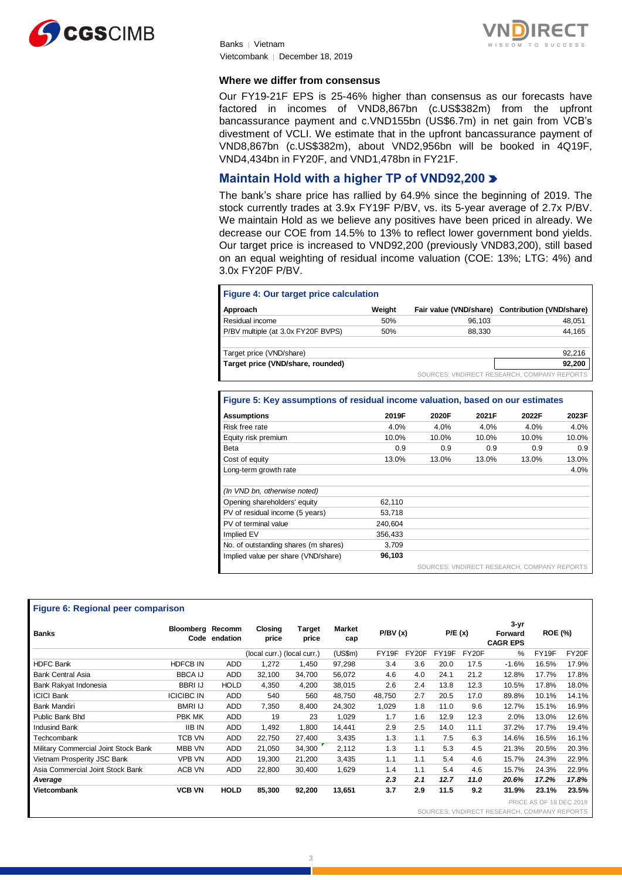



Banks │ Vietnam Vietcombank │ December 18, 2019

#### **Where we differ from consensus**

Our FY19-21F EPS is 25-46% higher than consensus as our forecasts have factored in incomes of VND8,867bn (c.US\$382m) from the upfront bancassurance payment and c.VND155bn (US\$6.7m) in net gain from VCB's divestment of VCLI. We estimate that in the upfront bancassurance payment of VND8,867bn (c.US\$382m), about VND2,956bn will be booked in 4Q19F, VND4,434bn in FY20F, and VND1,478bn in FY21F.

### **Maintain Hold with a higher TP of VND92,200**

The bank's share price has rallied by 64.9% since the beginning of 2019. The stock currently trades at 3.9x FY19F P/BV, vs. its 5-year average of 2.7x P/BV. We maintain Hold as we believe any positives have been priced in already. We decrease our COE from 14.5% to 13% to reflect lower government bond yields. Our target price is increased to VND92,200 (previously VND83,200), still based on an equal weighting of residual income valuation (COE: 13%; LTG: 4%) and 3.0x FY20F P/BV.

#### **Figure 4: Our target price calculation**

| Approach                           | Weight |        | Fair value (VND/share) Contribution (VND/share) |
|------------------------------------|--------|--------|-------------------------------------------------|
| Residual income                    | 50%    | 96.103 | 48,051                                          |
| P/BV multiple (at 3.0x FY20F BVPS) | 50%    | 88.330 | 44,165                                          |
|                                    |        |        |                                                 |
| Target price (VND/share)           |        |        | 92.216                                          |
| Target price (VND/share, rounded)  |        |        | 92,200                                          |
|                                    |        |        | SOURCES: VNDIRECT RESEARCH, COMPANY REPORTS     |

#### **Figure 5: Key assumptions of residual income valuation, based on our estimates**

| <b>Assumptions</b>                   | 2019F   | 2020F | 2021F                                        | 2022F | 2023F |
|--------------------------------------|---------|-------|----------------------------------------------|-------|-------|
| Risk free rate                       | 4.0%    | 4.0%  | 4.0%                                         | 4.0%  | 4.0%  |
| Equity risk premium                  | 10.0%   | 10.0% | 10.0%                                        | 10.0% | 10.0% |
| Beta                                 | 0.9     | 0.9   | 0.9                                          | 0.9   | 0.9   |
| Cost of equity                       | 13.0%   | 13.0% | 13.0%                                        | 13.0% | 13.0% |
| Long-term growth rate                |         |       |                                              |       | 4.0%  |
| (In VND bn, otherwise noted)         |         |       |                                              |       |       |
| Opening shareholders' equity         | 62,110  |       |                                              |       |       |
| PV of residual income (5 years)      | 53,718  |       |                                              |       |       |
| PV of terminal value                 | 240.604 |       |                                              |       |       |
| Implied EV                           | 356.433 |       |                                              |       |       |
| No. of outstanding shares (m shares) | 3,709   |       |                                              |       |       |
| Implied value per share (VND/share)  | 96,103  |       |                                              |       |       |
|                                      |         |       | COUDCES: VAINIBECT BECEABOU, COMBANY BEBORTS |       |       |

#### SOURCES: VNDIRECT RESEARCH, COMPANY REPORTS

#### **Figure 6: Regional peer comparison**

|                                      |                         | Approach       |                                                                                |               |               | Weight  |       |        |             | Fair value (VND/share) Contribution (VND/share) |                                  |        |
|--------------------------------------|-------------------------|----------------|--------------------------------------------------------------------------------|---------------|---------------|---------|-------|--------|-------------|-------------------------------------------------|----------------------------------|--------|
|                                      |                         |                | Residual income                                                                |               |               | 50%     |       |        | 96,103      |                                                 |                                  | 48,051 |
|                                      |                         |                | P/BV multiple (at 3.0x FY20F BVPS)                                             |               |               | 50%     |       |        | 88,330      |                                                 |                                  | 44,165 |
|                                      |                         |                |                                                                                |               |               |         |       |        |             |                                                 |                                  |        |
|                                      |                         |                | Target price (VND/share)                                                       |               |               |         |       |        |             |                                                 |                                  | 92,216 |
|                                      |                         |                | Target price (VND/share, rounded)                                              |               |               |         |       |        |             |                                                 |                                  | 92,200 |
|                                      |                         |                |                                                                                |               |               |         |       |        |             | SOURCES: VNDIRECT RESEARCH, COMPANY REPORTS     |                                  |        |
|                                      |                         |                |                                                                                |               |               |         |       |        |             |                                                 |                                  |        |
|                                      |                         |                | Figure 5: Key assumptions of residual income valuation, based on our estimates |               |               |         |       |        |             |                                                 |                                  |        |
|                                      |                         |                |                                                                                |               |               |         |       |        |             |                                                 |                                  |        |
|                                      |                         |                | <b>Assumptions</b>                                                             |               |               | 2019F   |       | 2020F  |             | 2021F                                           | 2022F                            | 2023F  |
|                                      |                         | Risk free rate |                                                                                |               |               | 4.0%    |       | 4.0%   |             | 4.0%                                            | 4.0%                             | 4.0%   |
|                                      |                         |                | Equity risk premium                                                            |               |               | 10.0%   |       | 10.0%  |             | 10.0%                                           | 10.0%                            | 10.0%  |
|                                      |                         | Beta           |                                                                                |               |               | 0.9     |       | 0.9    |             | 0.9                                             | 0.9                              | 0.9    |
|                                      |                         |                | Cost of equity                                                                 |               |               | 13.0%   |       | 13.0%  |             | 13.0%                                           | 13.0%                            | 13.0%  |
|                                      |                         |                | Long-term growth rate                                                          |               |               |         |       |        |             |                                                 |                                  | 4.0%   |
|                                      |                         |                | (In VND bn, otherwise noted)                                                   |               |               |         |       |        |             |                                                 |                                  |        |
|                                      |                         |                | Opening shareholders' equity                                                   |               |               | 62,110  |       |        |             |                                                 |                                  |        |
|                                      |                         |                | PV of residual income (5 years)                                                |               |               | 53,718  |       |        |             |                                                 |                                  |        |
|                                      |                         |                | PV of terminal value                                                           |               |               | 240,604 |       |        |             |                                                 |                                  |        |
|                                      |                         | Implied EV     |                                                                                |               |               | 356,433 |       |        |             |                                                 |                                  |        |
|                                      |                         |                | No. of outstanding shares (m shares)                                           |               |               | 3,709   |       |        |             |                                                 |                                  |        |
|                                      |                         |                | Implied value per share (VND/share)                                            |               |               | 96,103  |       |        |             |                                                 |                                  |        |
|                                      |                         |                |                                                                                |               |               |         |       |        |             |                                                 |                                  |        |
|                                      |                         |                |                                                                                |               |               |         |       |        |             |                                                 |                                  |        |
|                                      |                         |                |                                                                                |               |               |         |       |        |             | SOURCES: VNDIRECT RESEARCH, COMPANY REPORTS     |                                  |        |
|                                      |                         |                |                                                                                |               |               |         |       |        |             |                                                 |                                  |        |
|                                      |                         |                |                                                                                |               |               |         |       |        |             |                                                 |                                  |        |
| Figure 6: Regional peer comparison   |                         |                |                                                                                |               |               |         |       |        |             |                                                 |                                  |        |
|                                      |                         |                |                                                                                |               |               |         |       |        |             | $3 - yr$                                        |                                  |        |
| <b>Banks</b>                         | <b>Bloomberg Recomm</b> |                | Closing                                                                        | <b>Target</b> | <b>Market</b> | P/BV(x) |       | P/E(x) |             | Forward                                         | <b>ROE (%)</b>                   |        |
|                                      |                         | Code endation  | price                                                                          | price         | cap           |         |       |        |             | <b>CAGR EPS</b>                                 |                                  |        |
|                                      |                         |                | (local curr.) (local curr.)                                                    |               | (US\$m)       | FY19F   | FY20F |        | FY19F FY20F | %                                               | FY19F                            | FY20F  |
| <b>HDFC Bank</b>                     | <b>HDFCB IN</b>         | <b>ADD</b>     | 1,272                                                                          | 1,450         | 97,298        | 3.4     | 3.6   | 20.0   | 17.5        | $-1.6%$                                         | 16.5%                            | 17.9%  |
| <b>Bank Central Asia</b>             | <b>BBCA IJ</b>          | <b>ADD</b>     | 32,100                                                                         | 34,700        | 56,072        | 4.6     | 4.0   | 24.1   | 21.2        | 12.8%                                           | 17.7%                            | 17.8%  |
| Bank Rakyat Indonesia                | <b>BBRI IJ</b>          | <b>HOLD</b>    | 4,350                                                                          | 4,200         | 38,015        | 2.6     | 2.4   | 13.8   | 12.3        | 10.5%                                           | 17.8%                            | 18.0%  |
| <b>ICICI Bank</b>                    | <b>ICICIBC IN</b>       | <b>ADD</b>     | 540                                                                            | 560           | 48,750        | 48,750  | 2.7   | 20.5   | 17.0        | 89.8%                                           | 10.1%                            | 14.1%  |
| <b>Bank Mandiri</b>                  | <b>BMRI IJ</b>          | <b>ADD</b>     | 7,350                                                                          | 8,400         | 24,302        | 1,029   | 1.8   | 11.0   | 9.6         | 12.7%                                           | 15.1%                            | 16.9%  |
| Public Bank Bhd                      | PBK MK                  | <b>ADD</b>     | 19                                                                             | 23            | 1,029         | 1.7     | 1.6   | 12.9   | 12.3        | 2.0%                                            | 13.0%                            | 12.6%  |
| <b>Indusind Bank</b>                 | <b>IIB IN</b>           | <b>ADD</b>     | 1,492                                                                          | 1,800         | 14,441        | 2.9     | 2.5   | 14.0   | 11.1        | 37.2%                                           | 17.7%                            | 19.4%  |
| Techcombank                          | <b>TCB VN</b>           | <b>ADD</b>     | 22,750                                                                         | 27,400        | 3,435         | 1.3     | 1.1   | 7.5    | 6.3         | 14.6%                                           | 16.5%                            | 16.1%  |
| Military Commercial Joint Stock Bank | MBB VN                  | <b>ADD</b>     | 21,050                                                                         | 34,300        | 2,112         | 1.3     | 1.1   | 5.3    | 4.5         | 21.3%                                           | 20.5%                            | 20.3%  |
| Vietnam Prosperity JSC Bank          | <b>VPB VN</b>           | <b>ADD</b>     | 19,300                                                                         | 21,200        | 3,435         | 1.1     | 1.1   | 5.4    | 4.6         | 15.7%                                           | 24.3%                            | 22.9%  |
| Asia Commercial Joint Stock Bank     | <b>ACB VN</b>           | <b>ADD</b>     | 22,800                                                                         | 30,400        | 1,629         | 1.4     | 1.1   | 5.4    | 4.6         | 15.7%                                           | 24.3%                            | 22.9%  |
| A verage                             |                         |                |                                                                                |               |               | 2.3     | 2.1   | 12.7   | 11.0        | 20.6%                                           | 17.2%                            | 17.8%  |
| <b>Vietcombank</b>                   | <b>VCB VN</b>           | <b>HOLD</b>    | 85,300                                                                         | 92,200        | 13,651        | 3.7     | 2.9   | 11.5   | 9.2         | 31.9%                                           | 23.1%<br>PRICE AS OF 18 DEC 2019 | 23.5%  |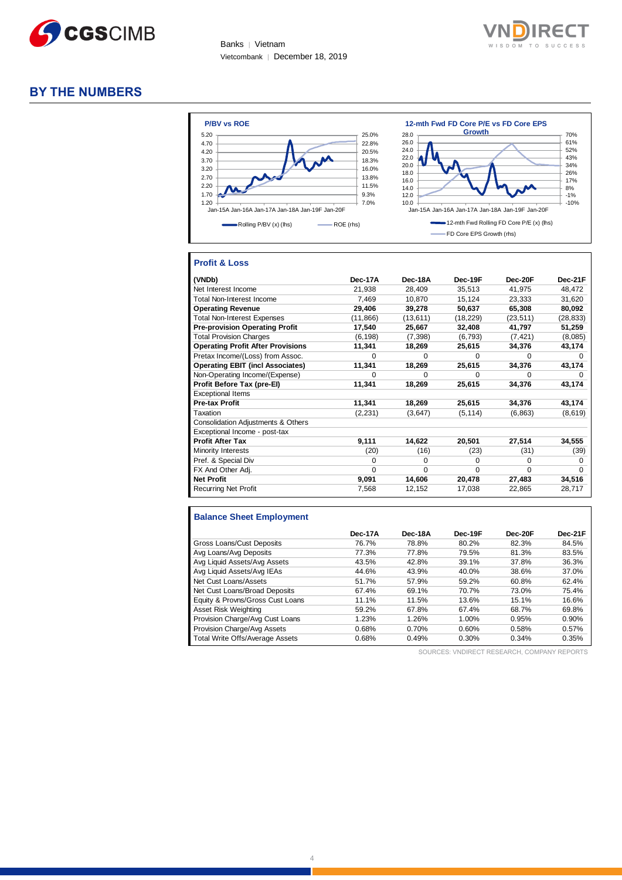

Banks | Vietnam Vietcombank │ December 18, 2019



#### **BY THE NUMBERS**



#### **Profit & Loss**

| (VNDb)                                   | Dec-17A   | Dec-18A   | Dec-19F   | Dec-20F   | Dec-21F   |
|------------------------------------------|-----------|-----------|-----------|-----------|-----------|
| Net Interest Income                      | 21,938    | 28,409    | 35,513    | 41,975    | 48,472    |
| Total Non-Interest Income                | 7,469     | 10,870    | 15,124    | 23,333    | 31,620    |
| <b>Operating Revenue</b>                 | 29,406    | 39,278    | 50,637    | 65,308    | 80,092    |
| <b>Total Non-Interest Expenses</b>       | (11, 866) | (13, 611) | (18, 229) | (23, 511) | (28, 833) |
| <b>Pre-provision Operating Profit</b>    | 17,540    | 25,667    | 32,408    | 41,797    | 51,259    |
| <b>Total Provision Charges</b>           | (6, 198)  | (7,398)   | (6, 793)  | (7, 421)  | (8,085)   |
| <b>Operating Profit After Provisions</b> | 11,341    | 18,269    | 25,615    | 34,376    | 43,174    |
| Pretax Income/(Loss) from Assoc.         | $\Omega$  | $\Omega$  | $\Omega$  | $\Omega$  | $\Omega$  |
| <b>Operating EBIT (incl Associates)</b>  | 11,341    | 18,269    | 25,615    | 34,376    | 43,174    |
| Non-Operating Income/(Expense)           | $\Omega$  | $\Omega$  | $\Omega$  | $\Omega$  | 0         |
| Profit Before Tax (pre-El)               | 11,341    | 18,269    | 25,615    | 34,376    | 43,174    |
| <b>Exceptional Items</b>                 |           |           |           |           |           |
| <b>Pre-tax Profit</b>                    | 11,341    | 18,269    | 25,615    | 34,376    | 43,174    |
| Taxation                                 | (2, 231)  | (3,647)   | (5, 114)  | (6, 863)  | (8,619)   |
| Consolidation Adjustments & Others       |           |           |           |           |           |
| Exceptional Income - post-tax            |           |           |           |           |           |
| <b>Profit After Tax</b>                  | 9,111     | 14,622    | 20,501    | 27,514    | 34,555    |
| Minority Interests                       | (20)      | (16)      | (23)      | (31)      | (39)      |
| Pref. & Special Div                      | $\Omega$  | 0         | $\Omega$  | $\Omega$  | 0         |
| FX And Other Adj.                        | $\Omega$  | $\Omega$  | $\Omega$  | $\Omega$  | $\Omega$  |
| <b>Net Profit</b>                        | 9,091     | 14,606    | 20,478    | 27,483    | 34,516    |
| <b>Recurring Net Profit</b>              | 7.568     | 12,152    | 17,038    | 22,865    | 28,717    |

#### **Balance Sheet Employment**

|                                  | Dec-17A | Dec-18A | Dec-19F | Dec-20F | Dec-21F |
|----------------------------------|---------|---------|---------|---------|---------|
| Gross Loans/Cust Deposits        | 76.7%   | 78.8%   | 80.2%   | 82.3%   | 84.5%   |
| Avg Loans/Avg Deposits           | 77.3%   | 77.8%   | 79.5%   | 81.3%   | 83.5%   |
| Avg Liquid Assets/Avg Assets     | 43.5%   | 42.8%   | 39.1%   | 37.8%   | 36.3%   |
| Avg Liquid Assets/Avg IEAs       | 44.6%   | 43.9%   | 40.0%   | 38.6%   | 37.0%   |
| Net Cust Loans/Assets            | 51.7%   | 57.9%   | 59.2%   | 60.8%   | 62.4%   |
| Net Cust Loans/Broad Deposits    | 67.4%   | 69.1%   | 70.7%   | 73.0%   | 75.4%   |
| Equity & Provns/Gross Cust Loans | 11.1%   | 11.5%   | 13.6%   | 15.1%   | 16.6%   |
| Asset Risk Weighting             | 59.2%   | 67.8%   | 67.4%   | 68.7%   | 69.8%   |
| Provision Charge/Avg Cust Loans  | 1.23%   | 1.26%   | 1.00%   | 0.95%   | 0.90%   |
| Provision Charge/Avg Assets      | 0.68%   | 0.70%   | 0.60%   | 0.58%   | 0.57%   |
| Total Write Offs/Average Assets  | 0.68%   | 0.49%   | 0.30%   | 0.34%   | 0.35%   |

SOURCES: VNDIRECT RESEARCH, COMPANY REPORTS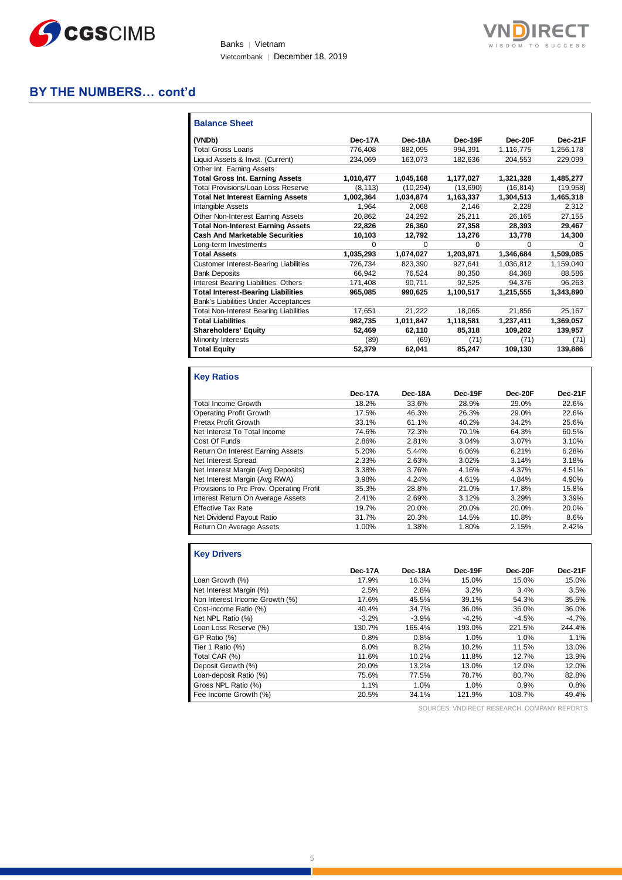

Banks | Vietnam Vietcombank │ December 18, 2019



#### **BY THE NUMBERS… cont'd**

| <b>Balance Sheet</b>                         |           |           |           |           |           |
|----------------------------------------------|-----------|-----------|-----------|-----------|-----------|
| (VNDb)                                       | Dec-17A   | Dec-18A   | Dec-19F   | Dec-20F   | Dec-21F   |
| <b>Total Gross Loans</b>                     | 776,408   | 882,095   | 994,391   | 1,116,775 | 1,256,178 |
| Liquid Assets & Invst. (Current)             | 234.069   | 163.073   | 182,636   | 204.553   | 229,099   |
| Other Int. Earning Assets                    |           |           |           |           |           |
| <b>Total Gross Int. Earning Assets</b>       | 1,010,477 | 1,045,168 | 1,177,027 | 1,321,328 | 1,485,277 |
| <b>Total Provisions/Loan Loss Reserve</b>    | (8, 113)  | (10, 294) | (13,690)  | (16, 814) | (19, 958) |
| <b>Total Net Interest Earning Assets</b>     | 1,002,364 | 1,034,874 | 1,163,337 | 1,304,513 | 1,465,318 |
| Intangible Assets                            | 1.964     | 2.068     | 2.146     | 2.228     | 2.312     |
| Other Non-Interest Earning Assets            | 20.862    | 24.292    | 25,211    | 26,165    | 27.155    |
| <b>Total Non-Interest Earning Assets</b>     | 22,826    | 26,360    | 27,358    | 28,393    | 29,467    |
| <b>Cash And Marketable Securities</b>        | 10,103    | 12,792    | 13,276    | 13,778    | 14,300    |
| Long-term Investments                        | 0         | 0         | $\Omega$  | 0         | 0         |
| <b>Total Assets</b>                          | 1,035,293 | 1.074.027 | 1.203.971 | 1.346.684 | 1,509,085 |
| <b>Customer Interest-Bearing Liabilities</b> | 726,734   | 823,390   | 927.641   | 1,036,812 | 1,159,040 |
| <b>Bank Deposits</b>                         | 66.942    | 76,524    | 80,350    | 84,368    | 88,586    |
| Interest Bearing Liabilities: Others         | 171,408   | 90.711    | 92,525    | 94,376    | 96,263    |
| <b>Total Interest-Bearing Liabilities</b>    | 965.085   | 990.625   | 1.100.517 | 1.215.555 | 1,343,890 |
| <b>Bank's Liabilities Under Acceptances</b>  |           |           |           |           |           |
| Total Non-Interest Bearing Liabilities       | 17,651    | 21.222    | 18,065    | 21,856    | 25,167    |
| <b>Total Liabilities</b>                     | 982,735   | 1,011,847 | 1,118,581 | 1,237,411 | 1,369,057 |
| <b>Shareholders' Equity</b>                  | 52,469    | 62,110    | 85,318    | 109,202   | 139,957   |
| Minority Interests                           | (89)      | (69)      | (71)      | (71)      | (71)      |
| <b>Total Equity</b>                          | 52,379    | 62,041    | 85,247    | 109,130   | 139,886   |

#### **Key Ratios**

|                                          | Dec-17A | Dec-18A | Dec-19F | Dec-20F | Dec-21F |
|------------------------------------------|---------|---------|---------|---------|---------|
| <b>Total Income Growth</b>               | 18.2%   | 33.6%   | 28.9%   | 29.0%   | 22.6%   |
| <b>Operating Profit Growth</b>           | 17.5%   | 46.3%   | 26.3%   | 29.0%   | 22.6%   |
| Pretax Profit Growth                     | 33.1%   | 61.1%   | 40.2%   | 34.2%   | 25.6%   |
| Net Interest To Total Income             | 74.6%   | 72.3%   | 70.1%   | 64.3%   | 60.5%   |
| Cost Of Funds                            | 2.86%   | 2.81%   | 3.04%   | 3.07%   | 3.10%   |
| Return On Interest Earning Assets        | 5.20%   | 5.44%   | 6.06%   | 6.21%   | 6.28%   |
| Net Interest Spread                      | 2.33%   | 2.63%   | 3.02%   | 3.14%   | 3.18%   |
| Net Interest Margin (Avg Deposits)       | 3.38%   | 3.76%   | 4.16%   | 4.37%   | 4.51%   |
| Net Interest Margin (Avg RWA)            | 3.98%   | 4.24%   | 4.61%   | 4.84%   | 4.90%   |
| Provisions to Pre Prov. Operating Profit | 35.3%   | 28.8%   | 21.0%   | 17.8%   | 15.8%   |
| Interest Return On Average Assets        | 2.41%   | 2.69%   | 3.12%   | 3.29%   | 3.39%   |
| <b>Effective Tax Rate</b>                | 19.7%   | 20.0%   | 20.0%   | 20.0%   | 20.0%   |
| Net Dividend Payout Ratio                | 31.7%   | 20.3%   | 14.5%   | 10.8%   | 8.6%    |
| Return On Average Assets                 | 1.00%   | 1.38%   | 1.80%   | 2.15%   | 2.42%   |

#### **Key Drivers**

| Dec-17A | Dec-18A | Dec-19F | Dec-20F | Dec-21F |
|---------|---------|---------|---------|---------|
| 17.9%   | 16.3%   | 15.0%   | 15.0%   | 15.0%   |
| 2.5%    | 2.8%    | 3.2%    | 3.4%    | 3.5%    |
| 17.6%   | 45.5%   | 39.1%   | 54.3%   | 35.5%   |
| 40.4%   | 34.7%   | 36.0%   | 36.0%   | 36.0%   |
| $-3.2%$ | $-3.9%$ | $-4.2%$ | $-4.5%$ | $-4.7%$ |
| 130.7%  | 165.4%  | 193.0%  | 221.5%  | 244.4%  |
| 0.8%    | 0.8%    | 1.0%    | 1.0%    | 1.1%    |
| 8.0%    | 8.2%    | 10.2%   | 11.5%   | 13.0%   |
| 11.6%   | 10.2%   | 11.8%   | 12.7%   | 13.9%   |
| 20.0%   | 13.2%   | 13.0%   | 12.0%   | 12.0%   |
| 75.6%   | 77.5%   | 78.7%   | 80.7%   | 82.8%   |
| 1.1%    | 1.0%    | 1.0%    | 0.9%    | 0.8%    |
| 20.5%   | 34.1%   | 121.9%  | 108.7%  | 49.4%   |
|         |         |         |         |         |

SOURCES: VNDIRECT RESEARCH, COMPANY REPORTS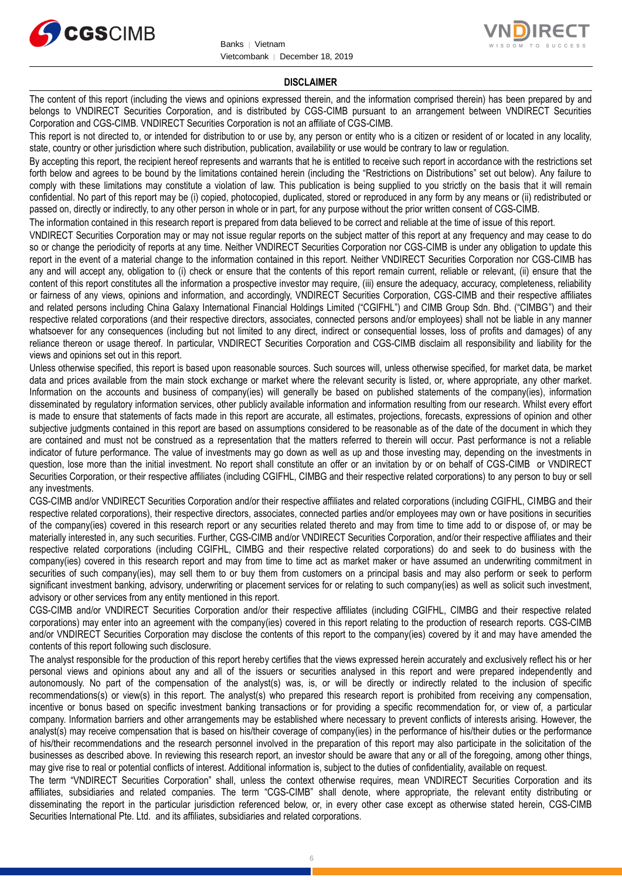



#### **DISCLAIMER**

The content of this report (including the views and opinions expressed therein, and the information comprised therein) has been prepared by and belongs to VNDIRECT Securities Corporation, and is distributed by CGS-CIMB pursuant to an arrangement between VNDIRECT Securities Corporation and CGS-CIMB. VNDIRECT Securities Corporation is not an affiliate of CGS-CIMB.

This report is not directed to, or intended for distribution to or use by, any person or entity who is a citizen or resident of or located in any locality, state, country or other jurisdiction where such distribution, publication, availability or use would be contrary to law or regulation.

By accepting this report, the recipient hereof represents and warrants that he is entitled to receive such report in accordance with the restrictions set forth below and agrees to be bound by the limitations contained herein (including the "Restrictions on Distributions" set out below). Any failure to comply with these limitations may constitute a violation of law. This publication is being supplied to you strictly on the basis that it will remain confidential. No part of this report may be (i) copied, photocopied, duplicated, stored or reproduced in any form by any means or (ii) redistributed or passed on, directly or indirectly, to any other person in whole or in part, for any purpose without the prior written consent of CGS-CIMB.

The information contained in this research report is prepared from data believed to be correct and reliable at the time of issue of this report.

VNDIRECT Securities Corporation may or may not issue regular reports on the subject matter of this report at any frequency and may cease to do so or change the periodicity of reports at any time. Neither VNDIRECT Securities Corporation nor CGS-CIMB is under any obligation to update this report in the event of a material change to the information contained in this report. Neither VNDIRECT Securities Corporation nor CGS-CIMB has any and will accept any, obligation to (i) check or ensure that the contents of this report remain current, reliable or relevant, (ii) ensure that the content of this report constitutes all the information a prospective investor may require, (iii) ensure the adequacy, accuracy, completeness, reliability or fairness of any views, opinions and information, and accordingly, VNDIRECT Securities Corporation, CGS-CIMB and their respective affiliates and related persons including China Galaxy International Financial Holdings Limited ("CGIFHL") and CIMB Group Sdn. Bhd. ("CIMBG") and their respective related corporations (and their respective directors, associates, connected persons and/or employees) shall not be liable in any manner whatsoever for any consequences (including but not limited to any direct, indirect or consequential losses, loss of profits and damages) of any reliance thereon or usage thereof. In particular, VNDIRECT Securities Corporation and CGS-CIMB disclaim all responsibility and liability for the views and opinions set out in this report.

Unless otherwise specified, this report is based upon reasonable sources. Such sources will, unless otherwise specified, for market data, be market data and prices available from the main stock exchange or market where the relevant security is listed, or, where appropriate, any other market. Information on the accounts and business of company(ies) will generally be based on published statements of the company(ies), information disseminated by regulatory information services, other publicly available information and information resulting from our research. Whilst every effort is made to ensure that statements of facts made in this report are accurate, all estimates, projections, forecasts, expressions of opinion and other subjective judgments contained in this report are based on assumptions considered to be reasonable as of the date of the document in which they are contained and must not be construed as a representation that the matters referred to therein will occur. Past performance is not a reliable indicator of future performance. The value of investments may go down as well as up and those investing may, depending on the investments in question, lose more than the initial investment. No report shall constitute an offer or an invitation by or on behalf of CGS-CIMB or VNDIRECT Securities Corporation, or their respective affiliates (including CGIFHL, CIMBG and their respective related corporations) to any person to buy or sell any investments.

CGS-CIMB and/or VNDIRECT Securities Corporation and/or their respective affiliates and related corporations (including CGIFHL, CIMBG and their respective related corporations), their respective directors, associates, connected parties and/or employees may own or have positions in securities of the company(ies) covered in this research report or any securities related thereto and may from time to time add to or dispose of, or may be materially interested in, any such securities. Further, CGS-CIMB and/or VNDIRECT Securities Corporation, and/or their respective affiliates and their respective related corporations (including CGIFHL, CIMBG and their respective related corporations) do and seek to do business with the company(ies) covered in this research report and may from time to time act as market maker or have assumed an underwriting commitment in securities of such company(ies), may sell them to or buy them from customers on a principal basis and may also perform or seek to perform significant investment banking, advisory, underwriting or placement services for or relating to such company(ies) as well as solicit such investment, advisory or other services from any entity mentioned in this report.

CGS-CIMB and/or VNDIRECT Securities Corporation and/or their respective affiliates (including CGIFHL, CIMBG and their respective related corporations) may enter into an agreement with the company(ies) covered in this report relating to the production of research reports. CGS-CIMB and/or VNDIRECT Securities Corporation may disclose the contents of this report to the company(ies) covered by it and may have amended the contents of this report following such disclosure.

The analyst responsible for the production of this report hereby certifies that the views expressed herein accurately and exclusively reflect his or her personal views and opinions about any and all of the issuers or securities analysed in this report and were prepared independently and autonomously. No part of the compensation of the analyst(s) was, is, or will be directly or indirectly related to the inclusion of specific recommendations(s) or view(s) in this report. The analyst(s) who prepared this research report is prohibited from receiving any compensation, incentive or bonus based on specific investment banking transactions or for providing a specific recommendation for, or view of, a particular company. Information barriers and other arrangements may be established where necessary to prevent conflicts of interests arising. However, the analyst(s) may receive compensation that is based on his/their coverage of company(ies) in the performance of his/their duties or the performance of his/their recommendations and the research personnel involved in the preparation of this report may also participate in the solicitation of the businesses as described above. In reviewing this research report, an investor should be aware that any or all of the foregoing, among other things, may give rise to real or potential conflicts of interest. Additional information is, subject to the duties of confidentiality, available on request.

The term "VNDIRECT Securities Corporation" shall, unless the context otherwise requires, mean VNDIRECT Securities Corporation and its affiliates, subsidiaries and related companies. The term "CGS-CIMB" shall denote, where appropriate, the relevant entity distributing or disseminating the report in the particular jurisdiction referenced below, or, in every other case except as otherwise stated herein, CGS-CIMB Securities International Pte. Ltd. and its affiliates, subsidiaries and related corporations.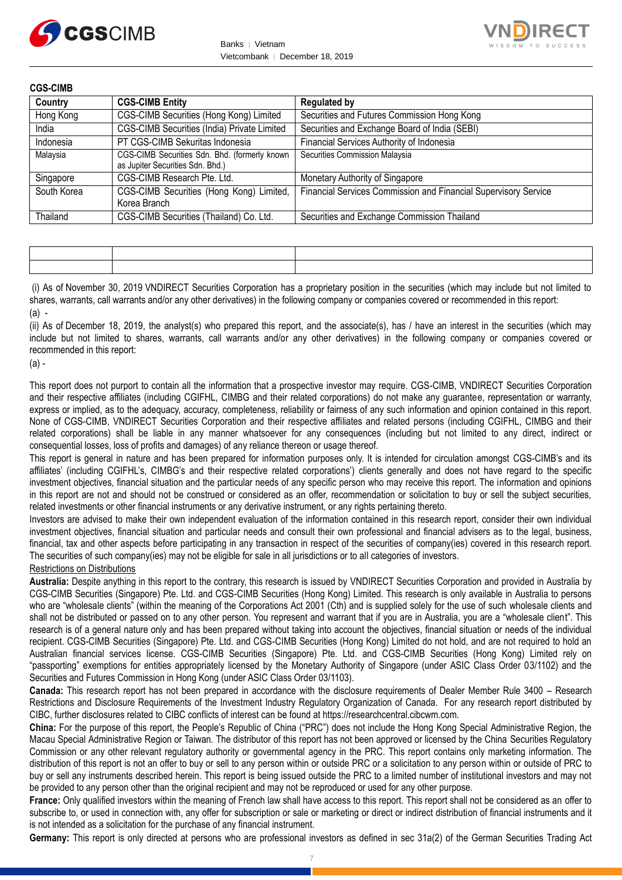



| <b>CGS-CIMB</b> |                                                                                   |                                                                 |
|-----------------|-----------------------------------------------------------------------------------|-----------------------------------------------------------------|
| Country         | <b>CGS-CIMB Entity</b>                                                            | <b>Regulated by</b>                                             |
| Hong Kong       | CGS-CIMB Securities (Hong Kong) Limited                                           | Securities and Futures Commission Hong Kong                     |
| India           | CGS-CIMB Securities (India) Private Limited                                       | Securities and Exchange Board of India (SEBI)                   |
| Indonesia       | PT CGS-CIMB Sekuritas Indonesia                                                   | Financial Services Authority of Indonesia                       |
| Malaysia        | CGS-CIMB Securities Sdn. Bhd. (formerly known<br>as Jupiter Securities Sdn. Bhd.) | Securities Commission Malaysia                                  |
| Singapore       | CGS-CIMB Research Pte. Ltd.                                                       | Monetary Authority of Singapore                                 |
| South Korea     | CGS-CIMB Securities (Hong Kong) Limited,<br>Korea Branch                          | Financial Services Commission and Financial Supervisory Service |
| Thailand        | CGS-CIMB Securities (Thailand) Co. Ltd.                                           | Securities and Exchange Commission Thailand                     |

(i) As of November 30, 2019 VNDIRECT Securities Corporation has a proprietary position in the securities (which may include but not limited to shares, warrants, call warrants and/or any other derivatives) in the following company or companies covered or recommended in this report:  $(a)$  -

(ii) As of December 18, 2019, the analyst(s) who prepared this report, and the associate(s), has / have an interest in the securities (which may include but not limited to shares, warrants, call warrants and/or any other derivatives) in the following company or companies covered or recommended in this report:

 $(a)$ .

This report does not purport to contain all the information that a prospective investor may require. CGS-CIMB, VNDIRECT Securities Corporation and their respective affiliates (including CGIFHL, CIMBG and their related corporations) do not make any guarantee, representation or warranty, express or implied, as to the adequacy, accuracy, completeness, reliability or fairness of any such information and opinion contained in this report. None of CGS-CIMB, VNDIRECT Securities Corporation and their respective affiliates and related persons (including CGIFHL, CIMBG and their related corporations) shall be liable in any manner whatsoever for any consequences (including but not limited to any direct, indirect or consequential losses, loss of profits and damages) of any reliance thereon or usage thereof.

This report is general in nature and has been prepared for information purposes only. It is intended for circulation amongst CGS-CIMB's and its affiliates' (including CGIFHL's, CIMBG's and their respective related corporations') clients generally and does not have regard to the specific investment objectives, financial situation and the particular needs of any specific person who may receive this report. The information and opinions in this report are not and should not be construed or considered as an offer, recommendation or solicitation to buy or sell the subject securities, related investments or other financial instruments or any derivative instrument, or any rights pertaining thereto.

Investors are advised to make their own independent evaluation of the information contained in this research report, consider their own individual investment objectives, financial situation and particular needs and consult their own professional and financial advisers as to the legal, business, financial, tax and other aspects before participating in any transaction in respect of the securities of company(ies) covered in this research report. The securities of such company(ies) may not be eligible for sale in all jurisdictions or to all categories of investors.

#### Restrictions on Distributions

**Australia:** Despite anything in this report to the contrary, this research is issued by VNDIRECT Securities Corporation and provided in Australia by CGS-CIMB Securities (Singapore) Pte. Ltd. and CGS-CIMB Securities (Hong Kong) Limited. This research is only available in Australia to persons who are "wholesale clients" (within the meaning of the Corporations Act 2001 (Cth) and is supplied solely for the use of such wholesale clients and shall not be distributed or passed on to any other person. You represent and warrant that if you are in Australia, you are a "wholesale client". This research is of a general nature only and has been prepared without taking into account the objectives, financial situation or needs of the individual recipient. CGS-CIMB Securities (Singapore) Pte. Ltd. and CGS-CIMB Securities (Hong Kong) Limited do not hold, and are not required to hold an Australian financial services license. CGS-CIMB Securities (Singapore) Pte. Ltd. and CGS-CIMB Securities (Hong Kong) Limited rely on "passporting" exemptions for entities appropriately licensed by the Monetary Authority of Singapore (under ASIC Class Order 03/1102) and the Securities and Futures Commission in Hong Kong (under ASIC Class Order 03/1103).

**Canada:** This research report has not been prepared in accordance with the disclosure requirements of Dealer Member Rule 3400 – Research Restrictions and Disclosure Requirements of the Investment Industry Regulatory Organization of Canada. For any research report distributed by CIBC, further disclosures related to CIBC conflicts of interest can be found at https://researchcentral.cibcwm.com.

**China:** For the purpose of this report, the People's Republic of China ("PRC") does not include the Hong Kong Special Administrative Region, the Macau Special Administrative Region or Taiwan. The distributor of this report has not been approved or licensed by the China Securities Regulatory Commission or any other relevant regulatory authority or governmental agency in the PRC. This report contains only marketing information. The distribution of this report is not an offer to buy or sell to any person within or outside PRC or a solicitation to any person within or outside of PRC to buy or sell any instruments described herein. This report is being issued outside the PRC to a limited number of institutional investors and may not be provided to any person other than the original recipient and may not be reproduced or used for any other purpose.

**France:** Only qualified investors within the meaning of French law shall have access to this report. This report shall not be considered as an offer to subscribe to, or used in connection with, any offer for subscription or sale or marketing or direct or indirect distribution of financial instruments and it is not intended as a solicitation for the purchase of any financial instrument.

**Germany:** This report is only directed at persons who are professional investors as defined in sec 31a(2) of the German Securities Trading Act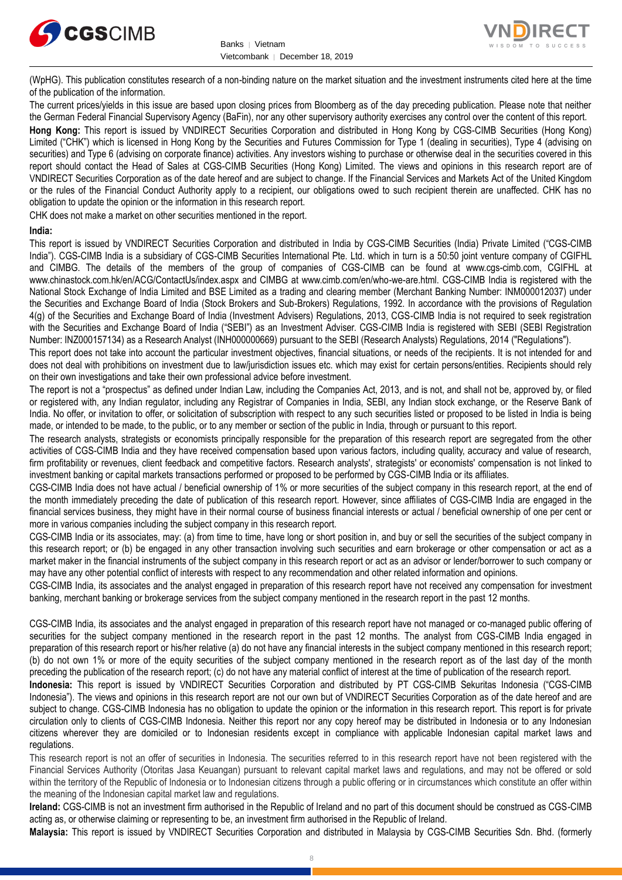



(WpHG). This publication constitutes research of a non-binding nature on the market situation and the investment instruments cited here at the time of the publication of the information.

The current prices/yields in this issue are based upon closing prices from Bloomberg as of the day preceding publication. Please note that neither the German Federal Financial Supervisory Agency (BaFin), nor any other supervisory authority exercises any control over the content of this report.

**Hong Kong:** This report is issued by VNDIRECT Securities Corporation and distributed in Hong Kong by CGS-CIMB Securities (Hong Kong) Limited ("CHK") which is licensed in Hong Kong by the Securities and Futures Commission for Type 1 (dealing in securities), Type 4 (advising on securities) and Type 6 (advising on corporate finance) activities. Any investors wishing to purchase or otherwise deal in the securities covered in this report should contact the Head of Sales at CGS-CIMB Securities (Hong Kong) Limited. The views and opinions in this research report are of VNDIRECT Securities Corporation as of the date hereof and are subject to change. If the Financial Services and Markets Act of the United Kingdom or the rules of the Financial Conduct Authority apply to a recipient, our obligations owed to such recipient therein are unaffected. CHK has no obligation to update the opinion or the information in this research report.

CHK does not make a market on other securities mentioned in the report.

#### **India:**

This report is issued by VNDIRECT Securities Corporation and distributed in India by CGS-CIMB Securities (India) Private Limited ("CGS-CIMB India"). CGS-CIMB India is a subsidiary of CGS-CIMB Securities International Pte. Ltd. which in turn is a 50:50 joint venture company of CGIFHL and CIMBG. The details of the members of the group of companies of CGS-CIMB can be found at www.cgs-cimb.com, CGIFHL at www.chinastock.com.hk/en/ACG/ContactUs/index.aspx and CIMBG at www.cimb.com/en/who-we-are.html. CGS-CIMB India is registered with the National Stock Exchange of India Limited and BSE Limited as a trading and clearing member (Merchant Banking Number: INM000012037) under the Securities and Exchange Board of India (Stock Brokers and Sub-Brokers) Regulations, 1992. In accordance with the provisions of Regulation 4(g) of the Securities and Exchange Board of India (Investment Advisers) Regulations, 2013, CGS-CIMB India is not required to seek registration with the Securities and Exchange Board of India ("SEBI") as an Investment Adviser. CGS-CIMB India is registered with SEBI (SEBI Registration Number: INZ000157134) as a Research Analyst (INH000000669) pursuant to the SEBI (Research Analysts) Regulations, 2014 ("Regulations").

This report does not take into account the particular investment objectives, financial situations, or needs of the recipients. It is not intended for and does not deal with prohibitions on investment due to law/jurisdiction issues etc. which may exist for certain persons/entities. Recipients should rely on their own investigations and take their own professional advice before investment.

The report is not a "prospectus" as defined under Indian Law, including the Companies Act, 2013, and is not, and shall not be, approved by, or filed or registered with, any Indian regulator, including any Registrar of Companies in India, SEBI, any Indian stock exchange, or the Reserve Bank of India. No offer, or invitation to offer, or solicitation of subscription with respect to any such securities listed or proposed to be listed in India is being made, or intended to be made, to the public, or to any member or section of the public in India, through or pursuant to this report.

The research analysts, strategists or economists principally responsible for the preparation of this research report are segregated from the other activities of CGS-CIMB India and they have received compensation based upon various factors, including quality, accuracy and value of research, firm profitability or revenues, client feedback and competitive factors. Research analysts', strategists' or economists' compensation is not linked to investment banking or capital markets transactions performed or proposed to be performed by CGS-CIMB India or its affiliates.

CGS-CIMB India does not have actual / beneficial ownership of 1% or more securities of the subject company in this research report, at the end of the month immediately preceding the date of publication of this research report. However, since affiliates of CGS-CIMB India are engaged in the financial services business, they might have in their normal course of business financial interests or actual / beneficial ownership of one per cent or more in various companies including the subject company in this research report.

CGS-CIMB India or its associates, may: (a) from time to time, have long or short position in, and buy or sell the securities of the subject company in this research report; or (b) be engaged in any other transaction involving such securities and earn brokerage or other compensation or act as a market maker in the financial instruments of the subject company in this research report or act as an advisor or lender/borrower to such company or may have any other potential conflict of interests with respect to any recommendation and other related information and opinions.

CGS-CIMB India, its associates and the analyst engaged in preparation of this research report have not received any compensation for investment banking, merchant banking or brokerage services from the subject company mentioned in the research report in the past 12 months.

CGS-CIMB India, its associates and the analyst engaged in preparation of this research report have not managed or co-managed public offering of securities for the subject company mentioned in the research report in the past 12 months. The analyst from CGS-CIMB India engaged in preparation of this research report or his/her relative (a) do not have any financial interests in the subject company mentioned in this research report; (b) do not own 1% or more of the equity securities of the subject company mentioned in the research report as of the last day of the month preceding the publication of the research report; (c) do not have any material conflict of interest at the time of publication of the research report.

**Indonesia:** This report is issued by VNDIRECT Securities Corporation and distributed by PT CGS-CIMB Sekuritas Indonesia ("CGS-CIMB Indonesia"). The views and opinions in this research report are not our own but of VNDIRECT Securities Corporation as of the date hereof and are subject to change. CGS-CIMB Indonesia has no obligation to update the opinion or the information in this research report. This report is for private circulation only to clients of CGS-CIMB Indonesia. Neither this report nor any copy hereof may be distributed in Indonesia or to any Indonesian citizens wherever they are domiciled or to Indonesian residents except in compliance with applicable Indonesian capital market laws and regulations.

This research report is not an offer of securities in Indonesia. The securities referred to in this research report have not been registered with the Financial Services Authority (Otoritas Jasa Keuangan) pursuant to relevant capital market laws and regulations, and may not be offered or sold within the territory of the Republic of Indonesia or to Indonesian citizens through a public offering or in circumstances which constitute an offer within the meaning of the Indonesian capital market law and regulations.

**Ireland:** CGS-CIMB is not an investment firm authorised in the Republic of Ireland and no part of this document should be construed as CGS-CIMB acting as, or otherwise claiming or representing to be, an investment firm authorised in the Republic of Ireland.

**Malaysia:** This report is issued by VNDIRECT Securities Corporation and distributed in Malaysia by CGS-CIMB Securities Sdn. Bhd. (formerly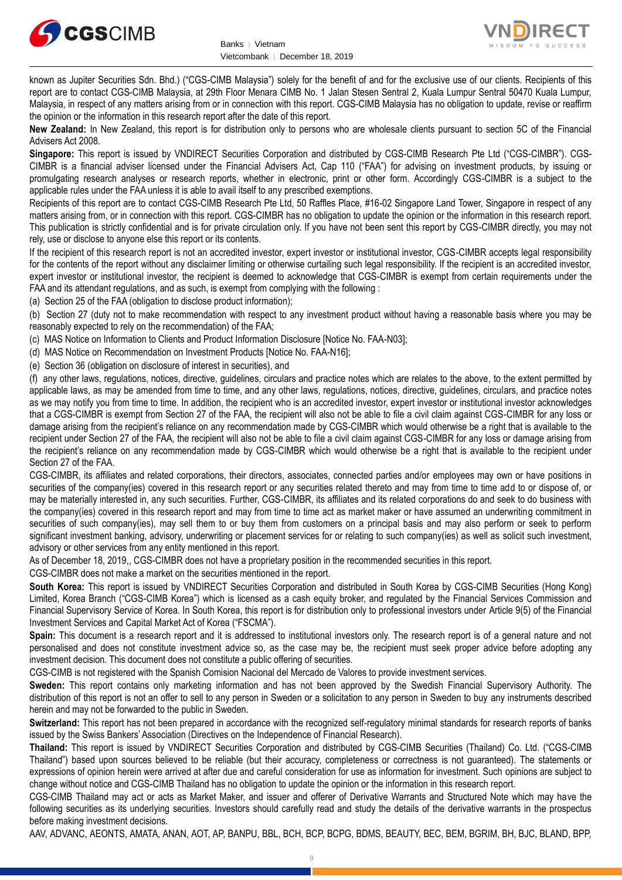



known as Jupiter Securities Sdn. Bhd.) ("CGS-CIMB Malaysia") solely for the benefit of and for the exclusive use of our clients. Recipients of this report are to contact CGS-CIMB Malaysia, at 29th Floor Menara CIMB No. 1 Jalan Stesen Sentral 2, Kuala Lumpur Sentral 50470 Kuala Lumpur, Malaysia, in respect of any matters arising from or in connection with this report. CGS-CIMB Malaysia has no obligation to update, revise or reaffirm the opinion or the information in this research report after the date of this report.

**New Zealand:** In New Zealand, this report is for distribution only to persons who are wholesale clients pursuant to section 5C of the Financial Advisers Act 2008.

**Singapore:** This report is issued by VNDIRECT Securities Corporation and distributed by CGS-CIMB Research Pte Ltd ("CGS-CIMBR"). CGS-CIMBR is a financial adviser licensed under the Financial Advisers Act, Cap 110 ("FAA") for advising on investment products, by issuing or promulgating research analyses or research reports, whether in electronic, print or other form. Accordingly CGS-CIMBR is a subject to the applicable rules under the FAA unless it is able to avail itself to any prescribed exemptions.

Recipients of this report are to contact CGS-CIMB Research Pte Ltd, 50 Raffles Place, #16-02 Singapore Land Tower, Singapore in respect of any matters arising from, or in connection with this report. CGS-CIMBR has no obligation to update the opinion or the information in this research report. This publication is strictly confidential and is for private circulation only. If you have not been sent this report by CGS-CIMBR directly, you may not rely, use or disclose to anyone else this report or its contents.

If the recipient of this research report is not an accredited investor, expert investor or institutional investor, CGS-CIMBR accepts legal responsibility for the contents of the report without any disclaimer limiting or otherwise curtailing such legal responsibility. If the recipient is an accredited investor, expert investor or institutional investor, the recipient is deemed to acknowledge that CGS-CIMBR is exempt from certain requirements under the FAA and its attendant regulations, and as such, is exempt from complying with the following :

(a) Section 25 of the FAA (obligation to disclose product information);

(b) Section 27 (duty not to make recommendation with respect to any investment product without having a reasonable basis where you may be reasonably expected to rely on the recommendation) of the FAA;

(c) MAS Notice on Information to Clients and Product Information Disclosure [Notice No. FAA-N03];

(d) MAS Notice on Recommendation on Investment Products [Notice No. FAA-N16];

(e) Section 36 (obligation on disclosure of interest in securities), and

(f) any other laws, regulations, notices, directive, guidelines, circulars and practice notes which are relates to the above, to the extent permitted by applicable laws, as may be amended from time to time, and any other laws, regulations, notices, directive, guidelines, circulars, and practice notes as we may notify you from time to time. In addition, the recipient who is an accredited investor, expert investor or institutional investor acknowledges that a CGS-CIMBR is exempt from Section 27 of the FAA, the recipient will also not be able to file a civil claim against CGS-CIMBR for any loss or damage arising from the recipient's reliance on any recommendation made by CGS-CIMBR which would otherwise be a right that is available to the recipient under Section 27 of the FAA, the recipient will also not be able to file a civil claim against CGS-CIMBR for any loss or damage arising from the recipient's reliance on any recommendation made by CGS-CIMBR which would otherwise be a right that is available to the recipient under Section 27 of the FAA.

CGS-CIMBR, its affiliates and related corporations, their directors, associates, connected parties and/or employees may own or have positions in securities of the company(ies) covered in this research report or any securities related thereto and may from time to time add to or dispose of, or may be materially interested in, any such securities. Further, CGS-CIMBR, its affiliates and its related corporations do and seek to do business with the company(ies) covered in this research report and may from time to time act as market maker or have assumed an underwriting commitment in securities of such company(ies), may sell them to or buy them from customers on a principal basis and may also perform or seek to perform significant investment banking, advisory, underwriting or placement services for or relating to such company(ies) as well as solicit such investment, advisory or other services from any entity mentioned in this report.

As of December 18, 2019,, CGS-CIMBR does not have a proprietary position in the recommended securities in this report.

CGS-CIMBR does not make a market on the securities mentioned in the report.

**South Korea:** This report is issued by VNDIRECT Securities Corporation and distributed in South Korea by CGS-CIMB Securities (Hong Kong) Limited, Korea Branch ("CGS-CIMB Korea") which is licensed as a cash equity broker, and regulated by the Financial Services Commission and Financial Supervisory Service of Korea. In South Korea, this report is for distribution only to professional investors under Article 9(5) of the Financial Investment Services and Capital Market Act of Korea ("FSCMA").

**Spain:** This document is a research report and it is addressed to institutional investors only. The research report is of a general nature and not personalised and does not constitute investment advice so, as the case may be, the recipient must seek proper advice before adopting any investment decision. This document does not constitute a public offering of securities.

CGS-CIMB is not registered with the Spanish Comision Nacional del Mercado de Valores to provide investment services.

**Sweden:** This report contains only marketing information and has not been approved by the Swedish Financial Supervisory Authority. The distribution of this report is not an offer to sell to any person in Sweden or a solicitation to any person in Sweden to buy any instruments described herein and may not be forwarded to the public in Sweden.

**Switzerland:** This report has not been prepared in accordance with the recognized self-regulatory minimal standards for research reports of banks issued by the Swiss Bankers' Association (Directives on the Independence of Financial Research).

**Thailand:** This report is issued by VNDIRECT Securities Corporation and distributed by CGS-CIMB Securities (Thailand) Co. Ltd. ("CGS-CIMB Thailand") based upon sources believed to be reliable (but their accuracy, completeness or correctness is not guaranteed). The statements or expressions of opinion herein were arrived at after due and careful consideration for use as information for investment. Such opinions are subject to change without notice and CGS-CIMB Thailand has no obligation to update the opinion or the information in this research report.

CGS-CIMB Thailand may act or acts as Market Maker, and issuer and offerer of Derivative Warrants and Structured Note which may have the following securities as its underlying securities. Investors should carefully read and study the details of the derivative warrants in the prospectus before making investment decisions.

AAV, ADVANC, AEONTS, AMATA, ANAN, AOT, AP, BANPU, BBL, BCH, BCP, BCPG, BDMS, BEAUTY, BEC, BEM, BGRIM, BH, BJC, BLAND, BPP,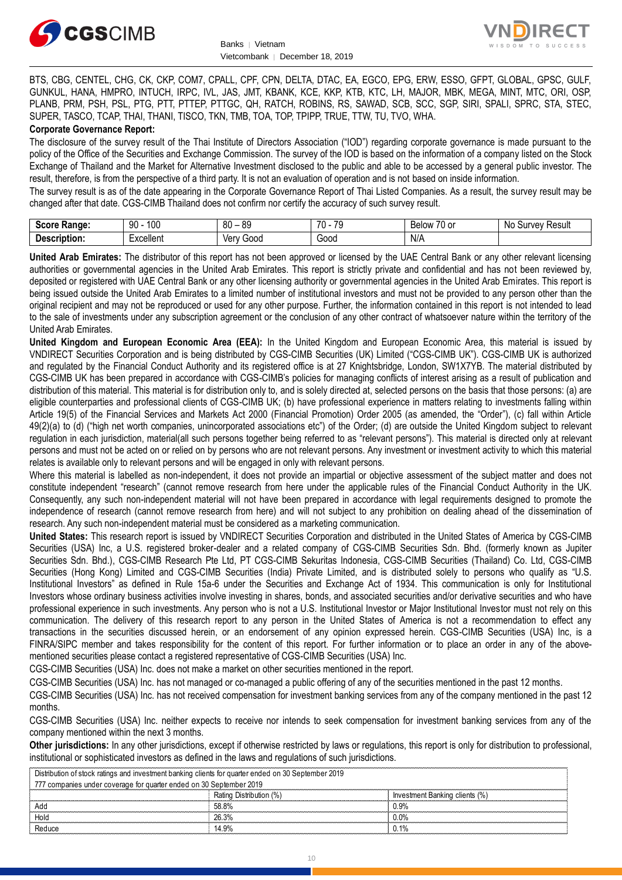



BTS, CBG, CENTEL, CHG, CK, CKP, COM7, CPALL, CPF, CPN, DELTA, DTAC, EA, EGCO, EPG, ERW, ESSO, GFPT, GLOBAL, GPSC, GULF, GUNKUL, HANA, HMPRO, INTUCH, IRPC, IVL, JAS, JMT, KBANK, KCE, KKP, KTB, KTC, LH, MAJOR, MBK, MEGA, MINT, MTC, ORI, OSP, PLANB, PRM, PSH, PSL, PTG, PTT, PTTEP, PTTGC, QH, RATCH, ROBINS, RS, SAWAD, SCB, SCC, SGP, SIRI, SPALI, SPRC, STA, STEC, SUPER, TASCO, TCAP, THAI, THANI, TISCO, TKN, TMB, TOA, TOP, TPIPP, TRUE, TTW, TU, TVO, WHA.

#### **Corporate Governance Report:**

The disclosure of the survey result of the Thai Institute of Directors Association ("IOD") regarding corporate governance is made pursuant to the policy of the Office of the Securities and Exchange Commission. The survey of the IOD is based on the information of a company listed on the Stock Exchange of Thailand and the Market for Alternative Investment disclosed to the public and able to be accessed by a general public investor. The result, therefore, is from the perspective of a third party. It is not an evaluation of operation and is not based on inside information.

The survey result is as of the date appearing in the Corporate Governance Report of Thai Listed Companies. As a result, the survey result may be changed after that date. CGS-CIMB Thailand does not confirm nor certify the accuracy of such survey result.

| Score<br><b>Range:</b> | 100<br>90 | $\circ$<br>٥c<br>^'<br>υu<br>ັບ | $\overline{\phantom{a}}$<br>$\overline{\phantom{a}}$<br>.,<br>- 11 | $\overline{\phantom{a}}$<br><b>Below</b><br>.∪ or | N0<br>Result<br>$^{\prime\prime}$ וי וו $\Delta V$<br>our |
|------------------------|-----------|---------------------------------|--------------------------------------------------------------------|---------------------------------------------------|-----------------------------------------------------------|
| Description.           | xcellent  | 000ز<br>verv                    | מה ה'<br>ovvu                                                      | N/A                                               |                                                           |

**United Arab Emirates:** The distributor of this report has not been approved or licensed by the UAE Central Bank or any other relevant licensing authorities or governmental agencies in the United Arab Emirates. This report is strictly private and confidential and has not been reviewed by, deposited or registered with UAE Central Bank or any other licensing authority or governmental agencies in the United Arab Emirates. This report is being issued outside the United Arab Emirates to a limited number of institutional investors and must not be provided to any person other than the original recipient and may not be reproduced or used for any other purpose. Further, the information contained in this report is not intended to lead to the sale of investments under any subscription agreement or the conclusion of any other contract of whatsoever nature within the territory of the United Arab Emirates.

**United Kingdom and European Economic Area (EEA):** In the United Kingdom and European Economic Area, this material is issued by VNDIRECT Securities Corporation and is being distributed by CGS-CIMB Securities (UK) Limited ("CGS-CIMB UK"). CGS-CIMB UK is authorized and regulated by the Financial Conduct Authority and its registered office is at 27 Knightsbridge, London, SW1X7YB. The material distributed by CGS-CIMB UK has been prepared in accordance with CGS-CIMB's policies for managing conflicts of interest arising as a result of publication and distribution of this material. This material is for distribution only to, and is solely directed at, selected persons on the basis that those persons: (a) are eligible counterparties and professional clients of CGS-CIMB UK; (b) have professional experience in matters relating to investments falling within Article 19(5) of the Financial Services and Markets Act 2000 (Financial Promotion) Order 2005 (as amended, the "Order"), (c) fall within Article 49(2)(a) to (d) ("high net worth companies, unincorporated associations etc") of the Order; (d) are outside the United Kingdom subject to relevant regulation in each jurisdiction, material(all such persons together being referred to as "relevant persons"). This material is directed only at relevant persons and must not be acted on or relied on by persons who are not relevant persons. Any investment or investment activity to which this material relates is available only to relevant persons and will be engaged in only with relevant persons.

Where this material is labelled as non-independent, it does not provide an impartial or objective assessment of the subject matter and does not constitute independent "research" (cannot remove research from here under the applicable rules of the Financial Conduct Authority in the UK. Consequently, any such non-independent material will not have been prepared in accordance with legal requirements designed to promote the independence of research (cannot remove research from here) and will not subject to any prohibition on dealing ahead of the dissemination of research. Any such non-independent material must be considered as a marketing communication.

**United States:** This research report is issued by VNDIRECT Securities Corporation and distributed in the United States of America by CGS-CIMB Securities (USA) Inc, a U.S. registered broker-dealer and a related company of CGS-CIMB Securities Sdn. Bhd. (formerly known as Jupiter Securities Sdn. Bhd.), CGS-CIMB Research Pte Ltd, PT CGS-CIMB Sekuritas Indonesia, CGS-CIMB Securities (Thailand) Co. Ltd, CGS-CIMB Securities (Hong Kong) Limited and CGS-CIMB Securities (India) Private Limited, and is distributed solely to persons who qualify as "U.S. Institutional Investors" as defined in Rule 15a-6 under the Securities and Exchange Act of 1934. This communication is only for Institutional Investors whose ordinary business activities involve investing in shares, bonds, and associated securities and/or derivative securities and who have professional experience in such investments. Any person who is not a U.S. Institutional Investor or Major Institutional Investor must not rely on this communication. The delivery of this research report to any person in the United States of America is not a recommendation to effect any transactions in the securities discussed herein, or an endorsement of any opinion expressed herein. CGS-CIMB Securities (USA) Inc, is a FINRA/SIPC member and takes responsibility for the content of this report. For further information or to place an order in any of the abovementioned securities please contact a registered representative of CGS-CIMB Securities (USA) Inc.

CGS-CIMB Securities (USA) Inc. does not make a market on other securities mentioned in the report.

CGS-CIMB Securities (USA) Inc. has not managed or co-managed a public offering of any of the securities mentioned in the past 12 months.

CGS-CIMB Securities (USA) Inc. has not received compensation for investment banking services from any of the company mentioned in the past 12 months.

CGS-CIMB Securities (USA) Inc. neither expects to receive nor intends to seek compensation for investment banking services from any of the company mentioned within the next 3 months.

**Other jurisdictions:** In any other jurisdictions, except if otherwise restricted by laws or regulations, this report is only for distribution to professional, institutional or sophisticated investors as defined in the laws and regulations of such jurisdictions.

| Distribution of stock ratings and investment banking clients for quarter ended on 30 September 2019 |                                |  |
|-----------------------------------------------------------------------------------------------------|--------------------------------|--|
| 777 companies under coverage for quarter ended on 30 September 2019                                 |                                |  |
| Rating Distribution (%)                                                                             | Investment Banking clients (%) |  |
| 58.8%                                                                                               | 0.9%                           |  |
| 26.3%                                                                                               | $0.0\%$                        |  |
| 14 9%                                                                                               | 0.1%                           |  |
|                                                                                                     |                                |  |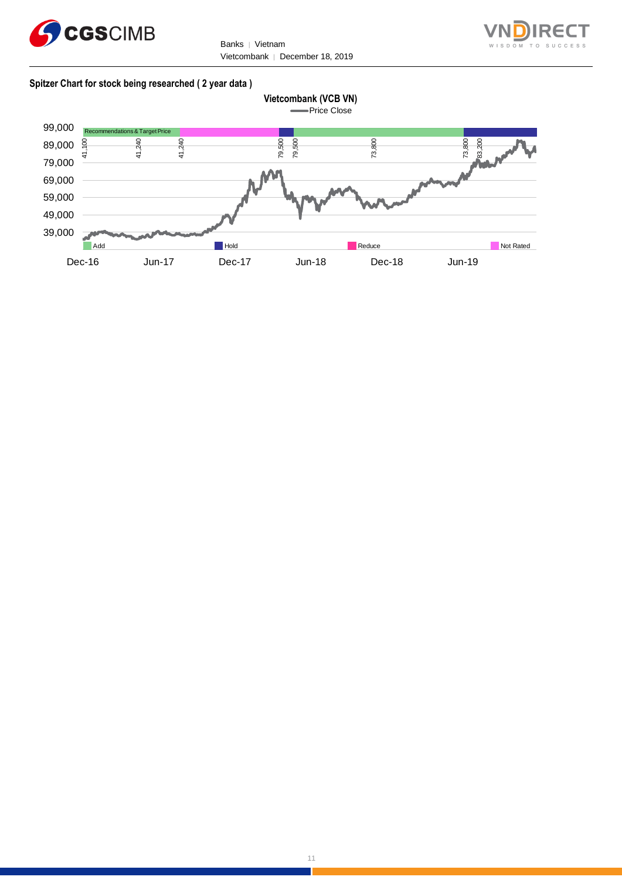

Banks | Vietnam Vietcombank | December 18, 2019



#### **Spitzer Chart for stock being researched ( 2 year data )**

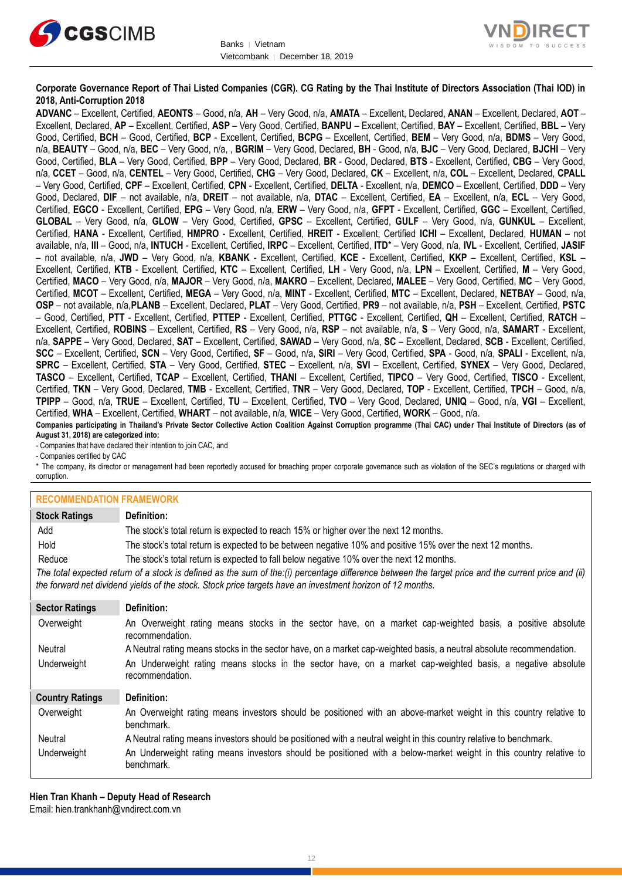



#### **Corporate Governance Report of Thai Listed Companies (CGR). CG Rating by the Thai Institute of Directors Association (Thai IOD) in 2018, Anti-Corruption 2018**

**ADVANC** – Excellent, Certified, **AEONTS** – Good, n/a, **AH** – Very Good, n/a, **AMATA** – Excellent, Declared, **ANAN** – Excellent, Declared, **AOT** – Excellent, Declared, **AP** – Excellent, Certified, **ASP** – Very Good, Certified, **BANPU** – Excellent, Certified, **BAY** – Excellent, Certified, **BBL** – Very Good, Certified, **BCH** – Good, Certified, **BCP** - Excellent, Certified, **BCPG** – Excellent, Certified, **BEM** – Very Good, n/a, **BDMS** – Very Good, n/a, **BEAUTY** – Good, n/a, **BEC** – Very Good, n/a, , **BGRIM** – Very Good, Declared, **BH** - Good, n/a, **BJC** – Very Good, Declared, **BJCHI** – Very Good, Certified, **BLA** – Very Good, Certified, **BPP** – Very Good, Declared, **BR** - Good, Declared, **BTS** - Excellent, Certified, **CBG** – Very Good, n/a, **CCET** – Good, n/a, **CENTEL** – Very Good, Certified, **CHG** – Very Good, Declared, **CK** – Excellent, n/a, **COL** – Excellent, Declared, **CPALL** – Very Good, Certified, **CPF** – Excellent, Certified, **CPN** - Excellent, Certified, **DELTA** - Excellent, n/a, **DEMCO** – Excellent, Certified, **DDD** – Very Good, Declared, **DIF** – not available, n/a, **DREIT** – not available, n/a, **DTAC** – Excellent, Certified, **EA** – Excellent, n/a, **ECL** – Very Good, Certified, **EGCO** - Excellent, Certified, **EPG** – Very Good, n/a, **ERW** – Very Good, n/a, **GFPT** - Excellent, Certified, **GGC** – Excellent, Certified, **GLOBAL** – Very Good, n/a, **GLOW** – Very Good, Certified, **GPSC** – Excellent, Certified, **GULF** – Very Good, n/a, **GUNKUL** – Excellent, Certified, **HANA** - Excellent, Certified, **HMPRO** - Excellent, Certified, **HREIT** - Excellent, Certified **ICHI** – Excellent, Declared, **HUMAN** – not available, n/a, **III** – Good, n/a, **INTUCH** - Excellent, Certified, **IRPC** – Excellent, Certified, **ITD**\* – Very Good, n/a, **IVL** - Excellent, Certified, **JASIF** – not available, n/a, **JWD** – Very Good, n/a, **KBANK** - Excellent, Certified, **KCE** - Excellent, Certified, **KKP** – Excellent, Certified, **KSL** – Excellent, Certified, **KTB** - Excellent, Certified, **KTC** – Excellent, Certified, **LH** - Very Good, n/a, **LPN** – Excellent, Certified, **M** – Very Good, Certified, **MACO** – Very Good, n/a, **MAJOR** – Very Good, n/a, **MAKRO** – Excellent, Declared, **MALEE** – Very Good, Certified, **MC** – Very Good, Certified, **MCOT** – Excellent, Certified, **MEGA** – Very Good, n/a, **MINT** - Excellent, Certified, **MTC** – Excellent, Declared, **NETBAY** – Good, n/a, **OSP** – not available, n/a,**PLANB** – Excellent, Declared, **PLAT** – Very Good, Certified, **PR9** – not available, n/a, **PSH** – Excellent, Certified, **PSTC** – Good, Certified, **PTT** - Excellent, Certified, **PTTEP** - Excellent, Certified, **PTTGC** - Excellent, Certified, **QH** – Excellent, Certified, **RATCH** – Excellent, Certified, **ROBINS** – Excellent, Certified, **RS** – Very Good, n/a, **RSP** – not available, n/a, **S** – Very Good, n/a, **SAMART** - Excellent, n/a, **SAPPE** – Very Good, Declared, **SAT** – Excellent, Certified, **SAWAD** – Very Good, n/a, **SC** – Excellent, Declared, **SCB** - Excellent, Certified, **SCC** – Excellent, Certified, **SCN** – Very Good, Certified, **SF** – Good, n/a, **SIRI** – Very Good, Certified, **SPA** - Good, n/a, **SPALI** - Excellent, n/a, **SPRC** – Excellent, Certified, **STA** – Very Good, Certified, **STEC** – Excellent, n/a, **SVI** – Excellent, Certified, **SYNEX** – Very Good, Declared, **TASCO** – Excellent, Certified, **TCAP** – Excellent, Certified, **THANI** – Excellent, Certified, **TIPCO** – Very Good, Certified, **TISCO** - Excellent, Certified, **TKN** – Very Good, Declared, **TMB** - Excellent, Certified, **TNR** – Very Good, Declared, **TOP** - Excellent, Certified, **TPCH** – Good, n/a, **TPIPP** – Good, n/a, **TRUE** – Excellent, Certified, **TU** – Excellent, Certified, **TVO** – Very Good, Declared, **UNIQ** – Good, n/a, **VGI** – Excellent, Certified, **WHA** – Excellent, Certified, **WHART** – not available, n/a, **WICE** – Very Good, Certified, **WORK** – Good, n/a. **Companies participating in Thailand's Private Sector Collective Action Coalition Against Corruption programme (Thai CAC) under Thai Institute of Directors (as of** 

**August 31, 2018) are categorized into:** - Companies that have declared their intention to join CAC, and

- Companies certified by CAC

\* The company, its director or management had been reportedly accused for breaching proper corporate governance such as violation of the SEC's regulations or charged with corruption.

#### **RECOMMENDATION FRAMEWORK**

| <b>Stock Ratings</b>   | Definition:                                                                                                                                                                                                                                                       |
|------------------------|-------------------------------------------------------------------------------------------------------------------------------------------------------------------------------------------------------------------------------------------------------------------|
| Add                    | The stock's total return is expected to reach 15% or higher over the next 12 months.                                                                                                                                                                              |
| Hold                   | The stock's total return is expected to be between negative 10% and positive 15% over the next 12 months.                                                                                                                                                         |
| Reduce                 | The stock's total return is expected to fall below negative 10% over the next 12 months.                                                                                                                                                                          |
|                        | The total expected return of a stock is defined as the sum of the:(i) percentage difference between the target price and the current price and (ii)<br>the forward net dividend yields of the stock. Stock price targets have an investment horizon of 12 months. |
| <b>Sector Ratings</b>  | Definition:                                                                                                                                                                                                                                                       |
| Overweight             | An Overweight rating means stocks in the sector have, on a market cap-weighted basis, a positive absolute<br>recommendation.                                                                                                                                      |
| Neutral                | A Neutral rating means stocks in the sector have, on a market cap-weighted basis, a neutral absolute recommendation.                                                                                                                                              |
| Underweight            | An Underweight rating means stocks in the sector have, on a market cap-weighted basis, a negative absolute<br>recommendation.                                                                                                                                     |
| <b>Country Ratings</b> | Definition:                                                                                                                                                                                                                                                       |
| Overweight             | An Overweight rating means investors should be positioned with an above-market weight in this country relative to<br>benchmark.                                                                                                                                   |
| Neutral                | A Neutral rating means investors should be positioned with a neutral weight in this country relative to benchmark.                                                                                                                                                |

Underweight An Underweight rating means investors should be positioned with a below-market weight in this country relative to benchmark.

**Hien Tran Khanh – Deputy Head of Research** Email: [hien.trankhanh@vndirect.com.vn](mailto:hien.trankhanh@vndirect.com.vn)